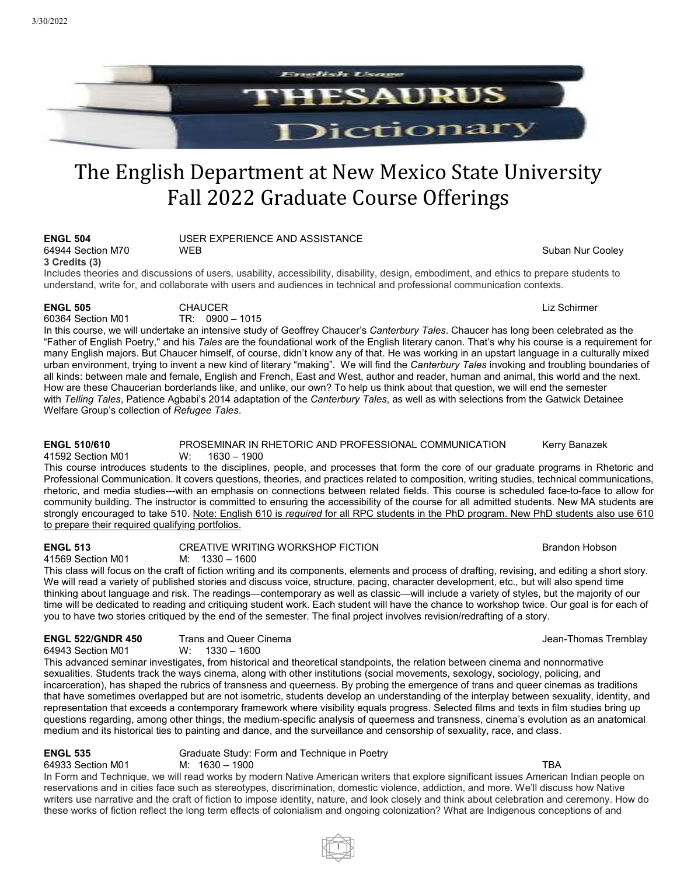

# The English Department at New Mexico State University Fall 2022 Graduate Course Offerings

| <b>ENGL 504</b>                                                                                                                         | USER EXPERIENCE AND ASSISTANCE                                                                                        |                  |  |  |
|-----------------------------------------------------------------------------------------------------------------------------------------|-----------------------------------------------------------------------------------------------------------------------|------------------|--|--|
| 64944 Section M70                                                                                                                       | <b>WFB</b>                                                                                                            | Suban Nur Cooley |  |  |
| 3 Credits (3)                                                                                                                           |                                                                                                                       |                  |  |  |
| Includes theories and discussions of users, usability, accessibility, disability, design, embodiment, and ethics to prepare students to |                                                                                                                       |                  |  |  |
|                                                                                                                                         | understand, write for, and collaborate with users and audiences in technical and professional communication contexts. |                  |  |  |

**ENGL 505** CHAUCER Liz Schirmer 60364 Section M01 TR: 0900 – 1015

In this course, we will undertake an intensive study of Geoffrey Chaucer's *Canterbury Tales*. Chaucer has long been celebrated as the "Father of English Poetry," and his *Tales* are the foundational work of the English literary canon. That's why his course is a requirement for many English majors. But Chaucer himself, of course, didn't know any of that. He was working in an upstart language in a culturally mixed urban environment, trying to invent a new kind of literary "making". We will find the *Canterbury Tales* invoking and troubling boundaries of all kinds: between male and female, English and French, East and West, author and reader, human and animal, this world and the next. How are these Chaucerian borderlands like, and unlike, our own? To help us think about that question, we will end the semester with *Telling Tales*, Patience Agbabi's 2014 adaptation of the *Canterbury Tales*, as well as with selections from the Gatwick Detainee Welfare Group's collection of *Refugee Tales*.

### **ENGL 510/610** PROSEMINAR IN RHETORIC AND PROFESSIONAL COMMUNICATION Kerry Banazek<br>41592 Section M01 W: 1630 – 1900 41592 Section M01

This course introduces students to the disciplines, people, and processes that form the core of our graduate programs in Rhetoric and Professional Communication. It covers questions, theories, and practices related to composition, writing studies, technical communications, rhetoric, and media studies---with an emphasis on connections between related fields. This course is scheduled face-to-face to allow for community building. The instructor is committed to ensuring the accessibility of the course for all admitted students. New MA students are strongly encouraged to take 510. Note: English 610 is *required* for all RPC students in the PhD program. New PhD students also use 610 to prepare their required qualifying portfolios.

### **ENGL 513** CREATIVE WRITING WORKSHOP FICTION<br>41569 Section M01 M: 1330 – 1600  $M: 1330 - 1600$

This class will focus on the craft of fiction writing and its components, elements and process of drafting, revising, and editing a short story. We will read a variety of published stories and discuss voice, structure, pacing, character development, etc., but will also spend time thinking about language and risk. The readings—contemporary as well as classic—will include a variety of styles, but the majority of our time will be dedicated to reading and critiquing student work. Each student will have the chance to workshop twice. Our goal is for each of you to have two stories critiqued by the end of the semester. The final project involves revision/redrafting of a story.

### **ENGL 522/GNDR 450** Trans and Queer Cinema Jean-Thomas Tremblay 64943 Section M01

This advanced seminar investigates, from historical and theoretical standpoints, the relation between cinema and nonnormative sexualities. Students track the ways cinema, along with other institutions (social movements, sexology, sociology, policing, and incarceration), has shaped the rubrics of transness and queerness. By probing the emergence of trans and queer cinemas as traditions that have sometimes overlapped but are not isometric, students develop an understanding of the interplay between sexuality, identity, and representation that exceeds a contemporary framework where visibility equals progress. Selected films and texts in film studies bring up questions regarding, among other things, the medium-specific analysis of queerness and transness, cinema's evolution as an anatomical medium and its historical ties to painting and dance, and the surveillance and censorship of sexuality, race, and class.

**ENGL 535** Graduate Study: Form and Technique in Poetry<br>64933 Section M01 M: 1630 – 1900

64933 Section M01 M: 1630 – 1900 TBA In Form and Technique, we will read works by modern Native American writers that explore significant issues American Indian people on reservations and in cities face such as stereotypes, discrimination, domestic violence, addiction, and more. We'll discuss how Native writers use narrative and the craft of fiction to impose identity, nature, and look closely and think about celebration and ceremony. How do these works of fiction reflect the long term effects of colonialism and ongoing colonization? What are Indigenous conceptions of and

1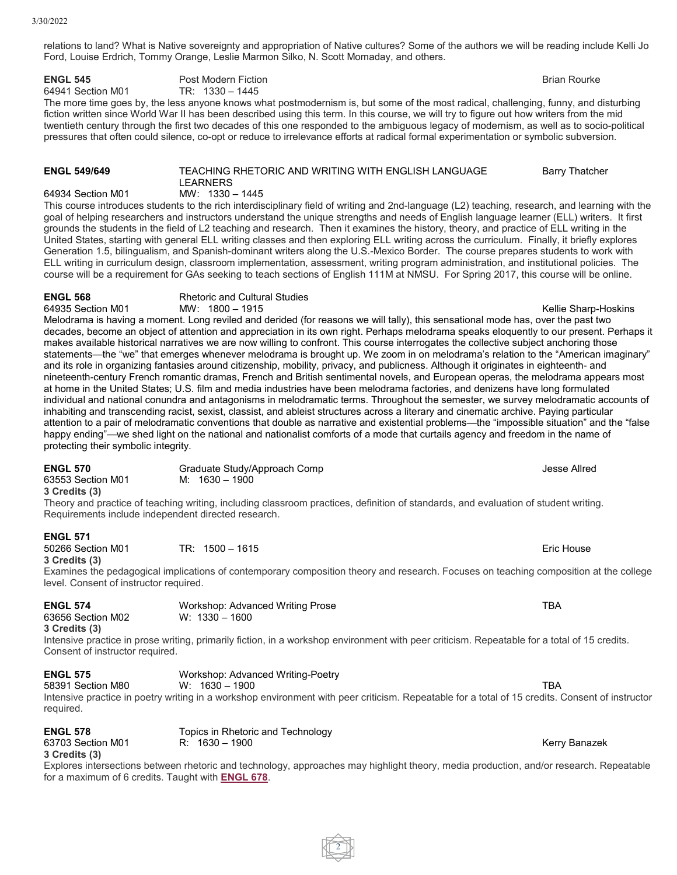relations to land? What is Native sovereignty and appropriation of Native cultures? Some of the authors we will be reading include Kelli Jo Ford, Louise Erdrich, Tommy Orange, Leslie Marmon Silko, N. Scott Momaday, and others.

**ENGL 545** Post Modern Fiction **Property Account Figure 2.5 August 2.5 August 2.5 August 2.5 August 2.5 August 2.5 August 2.5 August 2.5 August 2.5 August 2.5 August 2.5 August 2.5 August 2.5 August 2.5 August 2.5 August 2** 

64941 Section M01 The more time goes by, the less anyone knows what postmodernism is, but some of the most radical, challenging, funny, and disturbing fiction written since World War II has been described using this term. In this course, we will try to figure out how writers from the mid twentieth century through the first two decades of this one responded to the ambiguous legacy of modernism, as well as to socio-political pressures that often could silence, co-opt or reduce to irrelevance efforts at radical formal experimentation or symbolic subversion.

### **ENGL 549/649** TEACHING RHETORIC AND WRITING WITH ENGLISH LANGUAGE LEARNERS Barry Thatcher 64934 Section M01 MW: 1330 – 1445

This course introduces students to the rich interdisciplinary field of writing and 2nd-language (L2) teaching, research, and learning with the goal of helping researchers and instructors understand the unique strengths and needs of English language learner (ELL) writers. It first grounds the students in the field of L2 teaching and research. Then it examines the history, theory, and practice of ELL writing in the United States, starting with general ELL writing classes and then exploring ELL writing across the curriculum. Finally, it briefly explores Generation 1.5, bilingualism, and Spanish-dominant writers along the U.S.-Mexico Border. The course prepares students to work with ELL writing in curriculum design, classroom implementation, assessment, writing program administration, and institutional policies. The course will be a requirement for GAs seeking to teach sections of English 111M at NMSU. For Spring 2017, this course will be online.

**ENGL 568** Rhetoric and Cultural Studies<br>64935 Section M01 MW: 1800 - 1915

64935 Section M01 MW: 1800 – 1915 Kellie Sharp-Hoskins Melodrama is having a moment. Long reviled and derided (for reasons we will tally), this sensational mode has, over the past two decades, become an object of attention and appreciation in its own right. Perhaps melodrama speaks eloquently to our present. Perhaps it makes available historical narratives we are now willing to confront. This course interrogates the collective subject anchoring those statements—the "we" that emerges whenever melodrama is brought up. We zoom in on melodrama's relation to the "American imaginary" and its role in organizing fantasies around citizenship, mobility, privacy, and publicness. Although it originates in eighteenth- and nineteenth-century French romantic dramas, French and British sentimental novels, and European operas, the melodrama appears most at home in the United States; U.S. film and media industries have been melodrama factories, and denizens have long formulated individual and national conundra and antagonisms in melodramatic terms. Throughout the semester, we survey melodramatic accounts of inhabiting and transcending racist, sexist, classist, and ableist structures across a literary and cinematic archive. Paying particular attention to a pair of melodramatic conventions that double as narrative and existential problems—the "impossible situation" and the "false happy ending"—we shed light on the national and nationalist comforts of a mode that curtails agency and freedom in the name of protecting their symbolic integrity.

| <b>ENGL 570</b>   | Graduate Study/Approach Comp                                                                                                                                                                                                   | Jesse Allred |
|-------------------|--------------------------------------------------------------------------------------------------------------------------------------------------------------------------------------------------------------------------------|--------------|
| 63553 Section M01 | M: 1630 – 1900                                                                                                                                                                                                                 |              |
| 3 Credits (3)     |                                                                                                                                                                                                                                |              |
|                   | The same and magnifice of fire show matters. The holling of securities and first of the first should be seen as a strong securities of strong continuation of the state of strong continuation of the state of the state of th |              |

Theory and practice of teaching writing, including classroom practices, definition of standards, and evaluation of student writing. Requirements include independent directed research.

### **ENGL 571**

50266 Section M01 TR: 1500 – 1615 Eric House **3 Credits (3)**

Examines the pedagogical implications of contemporary composition theory and research. Focuses on teaching composition at the college level. Consent of instructor required.

63656 Section M02

**ENGL 574** Workshop: Advanced Writing Prose TBA<br>63656 Section M02 W: 1330 – 1600

## **3 Credits (3)**

Intensive practice in prose writing, primarily fiction, in a workshop environment with peer criticism. Repeatable for a total of 15 credits. Consent of instructor required.

## **ENGL 575** Workshop: Advanced Writing-Poetry<br>58391 Section M80 W: 1630 - 1900

58391 Section M80 W: 1630 – 1900 TBA

Intensive practice in poetry writing in a workshop environment with peer criticism. Repeatable for a total of 15 credits. Consent of instructor required.

**ENGL 578** Topics in Rhetoric and Technology<br>63703 Section M01 R: 1630 – 1900

### 63703 Section M01 R: 1630 – 1900 Reviewed Banazek Assembly Banazek **3 Credits (3)**

Explores intersections between rhetoric and technology, approaches may highlight theory, media production, and/or research. Repeatable for a maximum of 6 credits. Taught with **[ENGL](https://catalogs.nmsu.edu/search/?P=ENGL%20678) 678**.